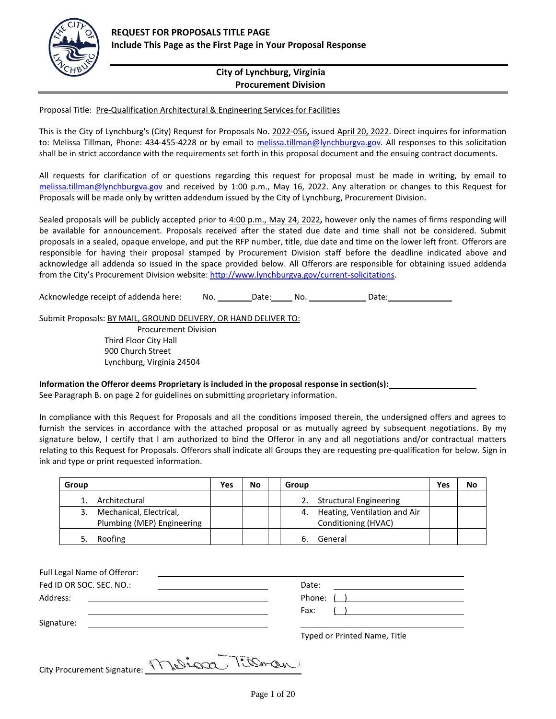

# **City of Lynchburg, Virginia Procurement Division**

Proposal Title: Pre-Qualification Architectural & Engineering Services for Facilities

This is the City of Lynchburg's (City) Request for Proposals No. 2022-056**,** issued April 20, 2022. Direct inquires for information to: Melissa Tillman, Phone: 434-455-4228 or by email to [melissa.tillman@lynchburgva.gov.](mailto:melissa.tillman@lynchburgva.gov) All responses to this solicitation shall be in strict accordance with the requirements set forth in this proposal document and the ensuing contract documents.

All requests for clarification of or questions regarding this request for proposal must be made in writing, by email to [melissa.tillman@lynchburgva.gov](mailto:melissa.tillman@lynchburgva.gov) and received by 1:00 p.m., May 16, 2022. Any alteration or changes to this Request for Proposals will be made only by written addendum issued by the City of Lynchburg, Procurement Division.

Sealed proposals will be publicly accepted prior to 4:00 p.m., May 24, 2022**,** however only the names of firms responding will be available for announcement. Proposals received after the stated due date and time shall not be considered. Submit proposals in a sealed, opaque envelope, and put the RFP number, title, due date and time on the lower left front. Offerors are responsible for having their proposal stamped by Procurement Division staff before the deadline indicated above and acknowledge all addenda so issued in the space provided below. All Offerors are responsible for obtaining issued addenda from the City's Procurement Division website: [http://www.lynchburgva.gov/current-solicitations.](http://www.lynchburgva.gov/current-solicitations)

Acknowledge receipt of addenda here: No. \_\_\_\_\_\_\_Date: \_\_\_\_\_ No. \_\_\_\_\_\_\_\_\_\_\_\_\_Date: \_\_\_\_\_\_\_\_\_\_\_\_\_\_\_\_

Submit Proposals: BY MAIL, GROUND DELIVERY, OR HAND DELIVER TO:

Procurement Division Third Floor City Hall 900 Church Street Lynchburg, Virginia 24504

**Information the Offeror deems Proprietary is included in the proposal response in section(s):**

See Paragraph B. on page 2 for guidelines on submitting proprietary information.

In compliance with this Request for Proposals and all the conditions imposed therein, the undersigned offers and agrees to furnish the services in accordance with the attached proposal or as mutually agreed by subsequent negotiations. By my signature below, I certify that I am authorized to bind the Offeror in any and all negotiations and/or contractual matters relating to this Request for Proposals. Offerors shall indicate all Groups they are requesting pre-qualification for below. Sign in ink and type or print requested information.

| Group |                                                       | Yes | No | Group                                                  | Yes | No |
|-------|-------------------------------------------------------|-----|----|--------------------------------------------------------|-----|----|
|       | Architectural                                         |     |    | <b>Structural Engineering</b><br>2.                    |     |    |
|       | Mechanical, Electrical,<br>Plumbing (MEP) Engineering |     |    | 4. Heating, Ventilation and Air<br>Conditioning (HVAC) |     |    |
|       | Roofing                                               |     |    | General                                                |     |    |

| Fed ID OR SOC. SEC. NO.:                                                                                                           | Date:                        |
|------------------------------------------------------------------------------------------------------------------------------------|------------------------------|
|                                                                                                                                    |                              |
| Address:                                                                                                                           | Phone: ( )                   |
|                                                                                                                                    | Fax:                         |
| Signature:<br><u> 1980 - Jan Samuel Barbara, margaret e populazion del control del control del control del control de la provi</u> |                              |
|                                                                                                                                    | Typed or Printed Name, Title |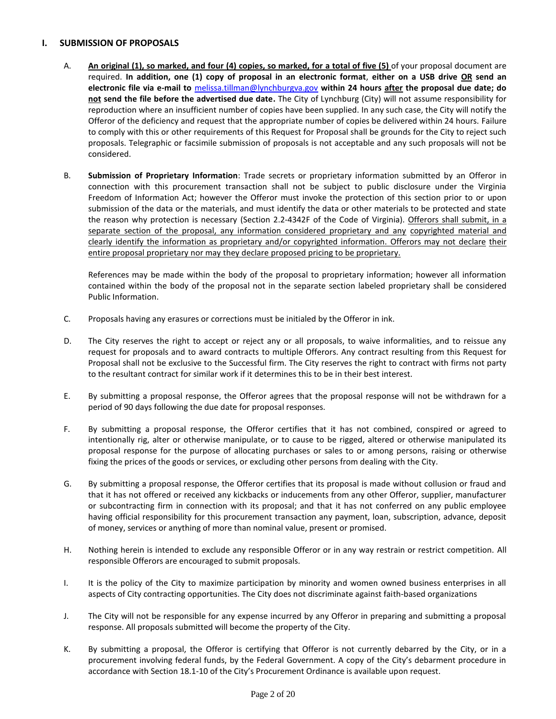#### **I. SUBMISSION OF PROPOSALS**

- A. **An original (1), so marked, and four (4) copies, so marked, for a total of five (5)** of your proposal document are required. **In addition, one (1) copy of proposal in an electronic format**, **either on a USB drive OR send an electronic file via e-mail to** [melissa.tillman@lynchburgva.gov](mailto:melissa.tillman@lynchburgva.gov) **within 24 hours after the proposal due date; do not send the file before the advertised due date.** The City of Lynchburg (City) will not assume responsibility for reproduction where an insufficient number of copies have been supplied. In any such case, the City will notify the Offeror of the deficiency and request that the appropriate number of copies be delivered within 24 hours. Failure to comply with this or other requirements of this Request for Proposal shall be grounds for the City to reject such proposals. Telegraphic or facsimile submission of proposals is not acceptable and any such proposals will not be considered.
- B. **Submission of Proprietary Information**: Trade secrets or proprietary information submitted by an Offeror in connection with this procurement transaction shall not be subject to public disclosure under the Virginia Freedom of Information Act; however the Offeror must invoke the protection of this section prior to or upon submission of the data or the materials, and must identify the data or other materials to be protected and state the reason why protection is necessary (Section 2.2-4342F of the Code of Virginia). Offerors shall submit, in a separate section of the proposal, any information considered proprietary and any copyrighted material and clearly identify the information as proprietary and/or copyrighted information. Offerors may not declare their entire proposal proprietary nor may they declare proposed pricing to be proprietary.

References may be made within the body of the proposal to proprietary information; however all information contained within the body of the proposal not in the separate section labeled proprietary shall be considered Public Information.

- C. Proposals having any erasures or corrections must be initialed by the Offeror in ink.
- D. The City reserves the right to accept or reject any or all proposals, to waive informalities, and to reissue any request for proposals and to award contracts to multiple Offerors. Any contract resulting from this Request for Proposal shall not be exclusive to the Successful firm. The City reserves the right to contract with firms not party to the resultant contract for similar work if it determines this to be in their best interest.
- E. By submitting a proposal response, the Offeror agrees that the proposal response will not be withdrawn for a period of 90 days following the due date for proposal responses.
- F. By submitting a proposal response, the Offeror certifies that it has not combined, conspired or agreed to intentionally rig, alter or otherwise manipulate, or to cause to be rigged, altered or otherwise manipulated its proposal response for the purpose of allocating purchases or sales to or among persons, raising or otherwise fixing the prices of the goods or services, or excluding other persons from dealing with the City.
- G. By submitting a proposal response, the Offeror certifies that its proposal is made without collusion or fraud and that it has not offered or received any kickbacks or inducements from any other Offeror, supplier, manufacturer or subcontracting firm in connection with its proposal; and that it has not conferred on any public employee having official responsibility for this procurement transaction any payment, loan, subscription, advance, deposit of money, services or anything of more than nominal value, present or promised.
- H. Nothing herein is intended to exclude any responsible Offeror or in any way restrain or restrict competition. All responsible Offerors are encouraged to submit proposals.
- I. It is the policy of the City to maximize participation by minority and women owned business enterprises in all aspects of City contracting opportunities. The City does not discriminate against faith-based organizations
- J. The City will not be responsible for any expense incurred by any Offeror in preparing and submitting a proposal response. All proposals submitted will become the property of the City.
- K. By submitting a proposal, the Offeror is certifying that Offeror is not currently debarred by the City, or in a procurement involving federal funds, by the Federal Government. A copy of the City's debarment procedure in accordance with Section 18.1-10 of the City's Procurement Ordinance is available upon request.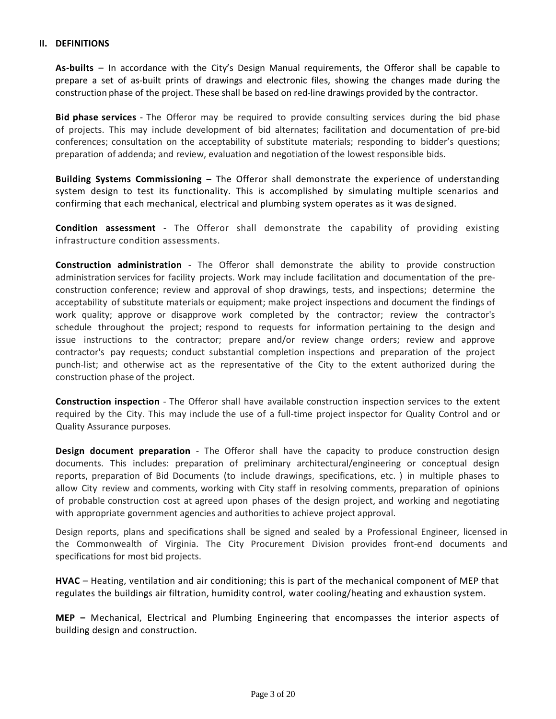#### **II. DEFINITIONS**

**As-builts** – In accordance with the City's Design Manual requirements, the Offeror shall be capable to prepare a set of as-built prints of drawings and electronic files, showing the changes made during the construction phase of the project. These shall be based on red-line drawings provided by the contractor.

**Bid phase services** - The Offeror may be required to provide consulting services during the bid phase of projects. This may include development of bid alternates; facilitation and documentation of pre-bid conferences; consultation on the acceptability of substitute materials; responding to bidder's questions; preparation of addenda; and review, evaluation and negotiation of the lowest responsible bids.

**Building Systems Commissioning** – The Offeror shall demonstrate the experience of understanding system design to test its functionality. This is accomplished by simulating multiple scenarios and confirming that each mechanical, electrical and plumbing system operates as it was designed.

**Condition assessment** - The Offeror shall demonstrate the capability of providing existing infrastructure condition assessments.

**Construction administration** - The Offeror shall demonstrate the ability to provide construction administration services for facility projects. Work may include facilitation and documentation of the preconstruction conference; review and approval of shop drawings, tests, and inspections; determine the acceptability of substitute materials or equipment; make project inspections and document the findings of work quality; approve or disapprove work completed by the contractor; review the contractor's schedule throughout the project; respond to requests for information pertaining to the design and issue instructions to the contractor; prepare and/or review change orders; review and approve contractor's pay requests; conduct substantial completion inspections and preparation of the project punch-list; and otherwise act as the representative of the City to the extent authorized during the construction phase of the project.

**Construction inspection** - The Offeror shall have available construction inspection services to the extent required by the City. This may include the use of a full-time project inspector for Quality Control and or Quality Assurance purposes.

**Design document preparation** - The Offeror shall have the capacity to produce construction design documents. This includes: preparation of preliminary architectural/engineering or conceptual design reports, preparation of Bid Documents (to include drawings, specifications, etc. ) in multiple phases to allow City review and comments, working with City staff in resolving comments, preparation of opinions of probable construction cost at agreed upon phases of the design project, and working and negotiating with appropriate government agencies and authorities to achieve project approval.

Design reports, plans and specifications shall be signed and sealed by a Professional Engineer, licensed in the Commonwealth of Virginia. The City Procurement Division provides front-end documents and specifications for most bid projects.

**HVAC** – Heating, ventilation and air conditioning; this is part of the mechanical component of MEP that regulates the buildings air filtration, humidity control, water cooling/heating and exhaustion system.

**MEP –** Mechanical, Electrical and Plumbing Engineering that encompasses the interior aspects of building design and construction.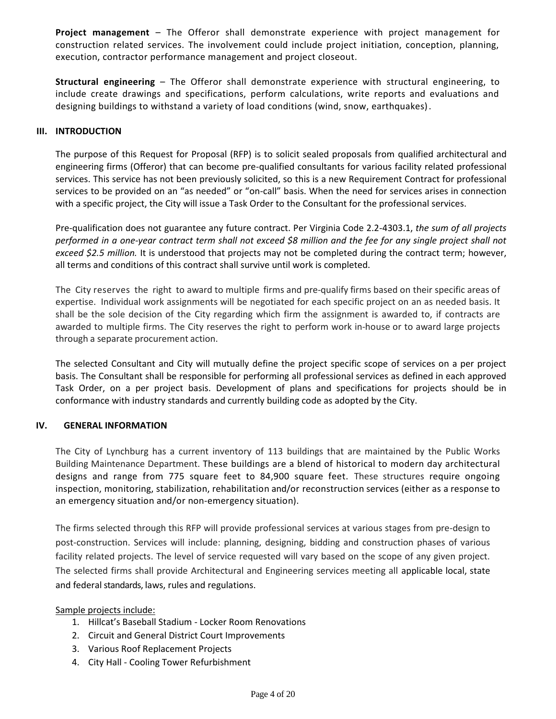**Project management** – The Offeror shall demonstrate experience with project management for construction related services. The involvement could include project initiation, conception, planning, execution, contractor performance management and project closeout.

**Structural engineering** – The Offeror shall demonstrate experience with structural engineering, to include create drawings and specifications, perform calculations, write reports and evaluations and designing buildings to withstand a variety of load conditions (wind, snow, earthquakes).

### **III. INTRODUCTION**

The purpose of this Request for Proposal (RFP) is to solicit sealed proposals from qualified architectural and engineering firms (Offeror) that can become pre-qualified consultants for various facility related professional services. This service has not been previously solicited, so this is a new Requirement Contract for professional services to be provided on an "as needed" or "on-call" basis. When the need for services arises in connection with a specific project, the City will issue a Task Order to the Consultant for the professional services.

Pre-qualification does not guarantee any future contract. Per Virginia Code 2.2-4303.1, *the sum of all projects performed in a one-year contract term shall not exceed \$8 million and the fee for any single project shall not exceed \$2.5 million.* It is understood that projects may not be completed during the contract term; however, all terms and conditions of this contract shall survive until work is completed.

The City reserves the right to award to multiple firms and pre-qualify firms based on their specific areas of expertise. Individual work assignments will be negotiated for each specific project on an as needed basis. It shall be the sole decision of the City regarding which firm the assignment is awarded to, if contracts are awarded to multiple firms. The City reserves the right to perform work in-house or to award large projects through a separate procurement action.

The selected Consultant and City will mutually define the project specific scope of services on a per project basis. The Consultant shall be responsible for performing all professional services as defined in each approved Task Order, on a per project basis. Development of plans and specifications for projects should be in conformance with industry standards and currently building code as adopted by the City.

### **IV. GENERAL INFORMATION**

The City of Lynchburg has a current inventory of 113 buildings that are maintained by the Public Works Building Maintenance Department. These buildings are a blend of historical to modern day architectural designs and range from 775 square feet to 84,900 square feet. These structures require ongoing inspection, monitoring, stabilization, rehabilitation and/or reconstruction services (either as a response to an emergency situation and/or non-emergency situation).

The firms selected through this RFP will provide professional services at various stages from pre-design to post-construction. Services will include: planning, designing, bidding and construction phases of various facility related projects. The level of service requested will vary based on the scope of any given project. The selected firms shall provide Architectural and Engineering services meeting all applicable local, state and federal standards, laws, rules and regulations.

Sample projects include:

- 1. Hillcat's Baseball Stadium Locker Room Renovations
- 2. Circuit and General District Court Improvements
- 3. Various Roof Replacement Projects
- 4. City Hall Cooling Tower Refurbishment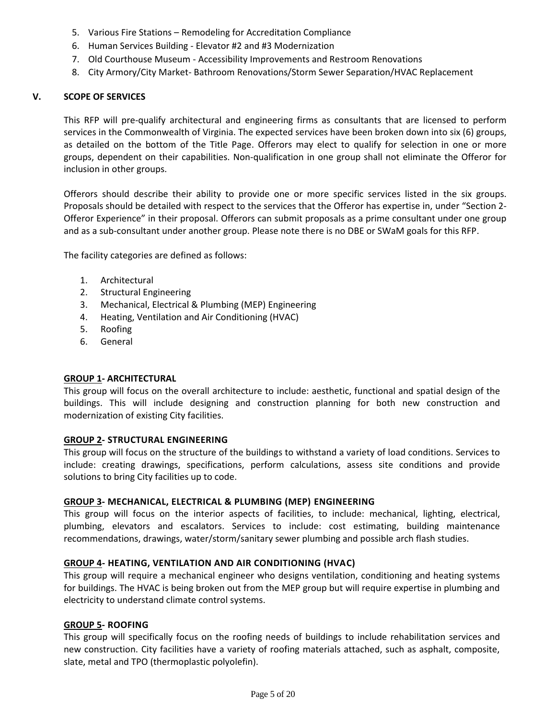- 5. Various Fire Stations Remodeling for Accreditation Compliance
- 6. Human Services Building Elevator #2 and #3 Modernization
- 7. Old Courthouse Museum Accessibility Improvements and Restroom Renovations
- 8. City Armory/City Market- Bathroom Renovations/Storm Sewer Separation/HVAC Replacement

## **V. SCOPE OF SERVICES**

This RFP will pre-qualify architectural and engineering firms as consultants that are licensed to perform services in the Commonwealth of Virginia. The expected services have been broken down into six (6) groups, as detailed on the bottom of the Title Page. Offerors may elect to qualify for selection in one or more groups, dependent on their capabilities. Non-qualification in one group shall not eliminate the Offeror for inclusion in other groups.

Offerors should describe their ability to provide one or more specific services listed in the six groups. Proposals should be detailed with respect to the services that the Offeror has expertise in, under "Section 2- Offeror Experience" in their proposal. Offerors can submit proposals as a prime consultant under one group and as a sub-consultant under another group. Please note there is no DBE or SWaM goals for this RFP.

The facility categories are defined as follows:

- 1. Architectural
- 2. Structural Engineering
- 3. Mechanical, Electrical & Plumbing (MEP) Engineering
- 4. Heating, Ventilation and Air Conditioning (HVAC)
- 5. Roofing
- 6. General

### **GROUP 1- ARCHITECTURAL**

This group will focus on the overall architecture to include: aesthetic, functional and spatial design of the buildings. This will include designing and construction planning for both new construction and modernization of existing City facilities.

### **GROUP 2- STRUCTURAL ENGINEERING**

This group will focus on the structure of the buildings to withstand a variety of load conditions. Services to include: creating drawings, specifications, perform calculations, assess site conditions and provide solutions to bring City facilities up to code.

### **GROUP 3- MECHANICAL, ELECTRICAL & PLUMBING (MEP) ENGINEERING**

This group will focus on the interior aspects of facilities, to include: mechanical, lighting, electrical, plumbing, elevators and escalators. Services to include: cost estimating, building maintenance recommendations, drawings, water/storm/sanitary sewer plumbing and possible arch flash studies.

### **GROUP 4- HEATING, VENTILATION AND AIR CONDITIONING (HVAC)**

This group will require a mechanical engineer who designs ventilation, conditioning and heating systems for buildings. The HVAC is being broken out from the MEP group but will require expertise in plumbing and electricity to understand climate control systems.

## **GROUP 5- ROOFING**

This group will specifically focus on the roofing needs of buildings to include rehabilitation services and new construction. City facilities have a variety of roofing materials attached, such as asphalt, composite, slate, metal and TPO (thermoplastic polyolefin).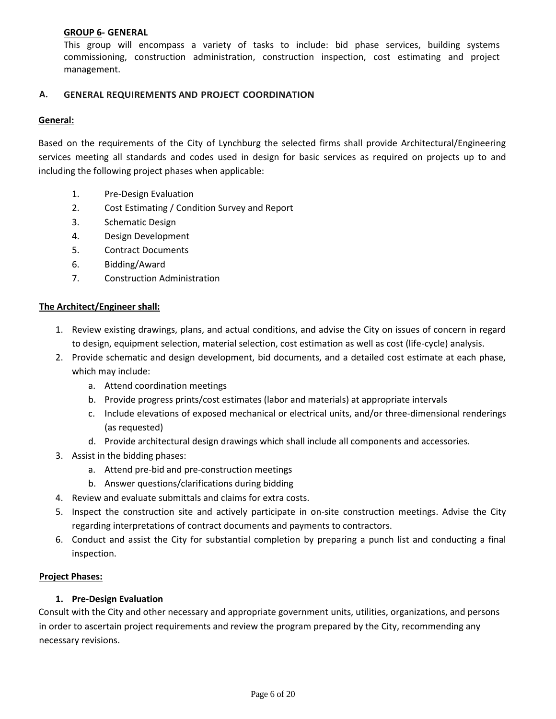## **GROUP 6- GENERAL**

This group will encompass a variety of tasks to include: bid phase services, building systems commissioning, construction administration, construction inspection, cost estimating and project management.

## **A. GENERAL REQUIREMENTS AND PROJECT COORDINATION**

## **General:**

Based on the requirements of the City of Lynchburg the selected firms shall provide Architectural/Engineering services meeting all standards and codes used in design for basic services as required on projects up to and including the following project phases when applicable:

- 1. Pre-Design Evaluation
- 2. Cost Estimating / Condition Survey and Report
- 3. Schematic Design
- 4. Design Development
- 5. Contract Documents
- 6. Bidding/Award
- 7. Construction Administration

### **The Architect/Engineer shall:**

- 1. Review existing drawings, plans, and actual conditions, and advise the City on issues of concern in regard to design, equipment selection, material selection, cost estimation as well as cost (life-cycle) analysis.
- 2. Provide schematic and design development, bid documents, and a detailed cost estimate at each phase, which may include:
	- a. Attend coordination meetings
	- b. Provide progress prints/cost estimates (labor and materials) at appropriate intervals
	- c. Include elevations of exposed mechanical or electrical units, and/or three-dimensional renderings (as requested)
	- d. Provide architectural design drawings which shall include all components and accessories.
- 3. Assist in the bidding phases:
	- a. Attend pre-bid and pre-construction meetings
	- b. Answer questions/clarifications during bidding
- 4. Review and evaluate submittals and claims for extra costs.
- 5. Inspect the construction site and actively participate in on-site construction meetings. Advise the City regarding interpretations of contract documents and payments to contractors.
- 6. Conduct and assist the City for substantial completion by preparing a punch list and conducting a final inspection.

### **Project Phases:**

### **1. Pre-Design Evaluation**

Consult with the City and other necessary and appropriate government units, utilities, organizations, and persons in order to ascertain project requirements and review the program prepared by the City, recommending any necessary revisions.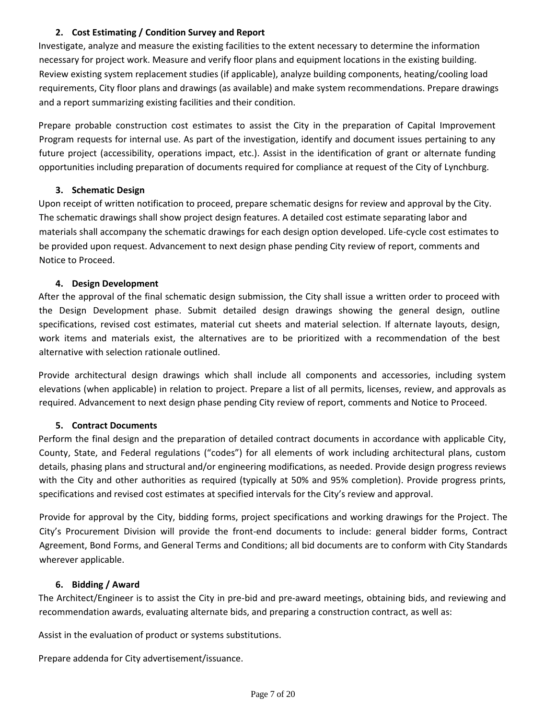# **2. Cost Estimating / Condition Survey and Report**

Investigate, analyze and measure the existing facilities to the extent necessary to determine the information necessary for project work. Measure and verify floor plans and equipment locations in the existing building. Review existing system replacement studies (if applicable), analyze building components, heating/cooling load requirements, City floor plans and drawings (as available) and make system recommendations. Prepare drawings and a report summarizing existing facilities and their condition.

Prepare probable construction cost estimates to assist the City in the preparation of Capital Improvement Program requests for internal use. As part of the investigation, identify and document issues pertaining to any future project (accessibility, operations impact, etc.). Assist in the identification of grant or alternate funding opportunities including preparation of documents required for compliance at request of the City of Lynchburg.

# **3. Schematic Design**

Upon receipt of written notification to proceed, prepare schematic designs for review and approval by the City. The schematic drawings shall show project design features. A detailed cost estimate separating labor and materials shall accompany the schematic drawings for each design option developed. Life-cycle cost estimates to be provided upon request. Advancement to next design phase pending City review of report, comments and Notice to Proceed.

# **4. Design Development**

After the approval of the final schematic design submission, the City shall issue a written order to proceed with the Design Development phase. Submit detailed design drawings showing the general design, outline specifications, revised cost estimates, material cut sheets and material selection. If alternate layouts, design, work items and materials exist, the alternatives are to be prioritized with a recommendation of the best alternative with selection rationale outlined.

Provide architectural design drawings which shall include all components and accessories, including system elevations (when applicable) in relation to project. Prepare a list of all permits, licenses, review, and approvals as required. Advancement to next design phase pending City review of report, comments and Notice to Proceed.

# **5. Contract Documents**

Perform the final design and the preparation of detailed contract documents in accordance with applicable City, County, State, and Federal regulations ("codes") for all elements of work including architectural plans, custom details, phasing plans and structural and/or engineering modifications, as needed. Provide design progress reviews with the City and other authorities as required (typically at 50% and 95% completion). Provide progress prints, specifications and revised cost estimates at specified intervals for the City's review and approval.

Provide for approval by the City, bidding forms, project specifications and working drawings for the Project. The City's Procurement Division will provide the front-end documents to include: general bidder forms, Contract Agreement, Bond Forms, and General Terms and Conditions; all bid documents are to conform with City Standards wherever applicable.

# **6. Bidding / Award**

The Architect/Engineer is to assist the City in pre-bid and pre-award meetings, obtaining bids, and reviewing and recommendation awards, evaluating alternate bids, and preparing a construction contract, as well as:

Assist in the evaluation of product or systems substitutions.

Prepare addenda for City advertisement/issuance.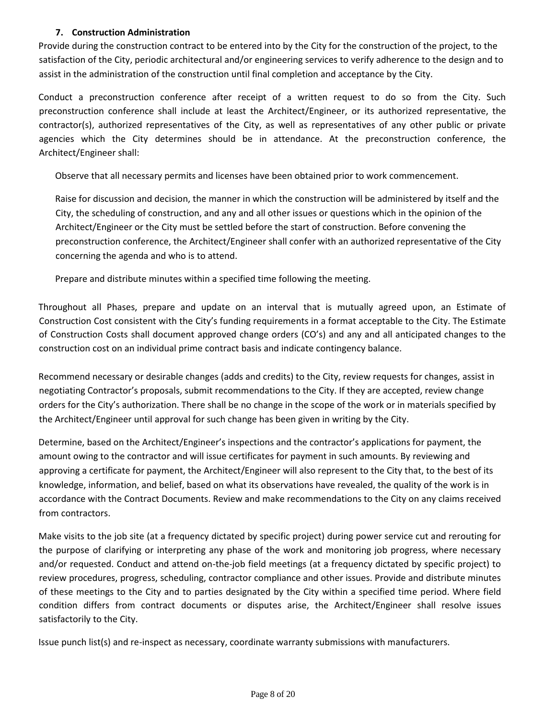# **7. Construction Administration**

Provide during the construction contract to be entered into by the City for the construction of the project, to the satisfaction of the City, periodic architectural and/or engineering services to verify adherence to the design and to assist in the administration of the construction until final completion and acceptance by the City.

Conduct a preconstruction conference after receipt of a written request to do so from the City. Such preconstruction conference shall include at least the Architect/Engineer, or its authorized representative, the contractor(s), authorized representatives of the City, as well as representatives of any other public or private agencies which the City determines should be in attendance. At the preconstruction conference, the Architect/Engineer shall:

Observe that all necessary permits and licenses have been obtained prior to work commencement.

Raise for discussion and decision, the manner in which the construction will be administered by itself and the City, the scheduling of construction, and any and all other issues or questions which in the opinion of the Architect/Engineer or the City must be settled before the start of construction. Before convening the preconstruction conference, the Architect/Engineer shall confer with an authorized representative of the City concerning the agenda and who is to attend.

Prepare and distribute minutes within a specified time following the meeting.

Throughout all Phases, prepare and update on an interval that is mutually agreed upon, an Estimate of Construction Cost consistent with the City's funding requirements in a format acceptable to the City. The Estimate of Construction Costs shall document approved change orders (CO's) and any and all anticipated changes to the construction cost on an individual prime contract basis and indicate contingency balance.

Recommend necessary or desirable changes (adds and credits) to the City, review requests for changes, assist in negotiating Contractor's proposals, submit recommendations to the City. If they are accepted, review change orders for the City's authorization. There shall be no change in the scope of the work or in materials specified by the Architect/Engineer until approval for such change has been given in writing by the City.

Determine, based on the Architect/Engineer's inspections and the contractor's applications for payment, the amount owing to the contractor and will issue certificates for payment in such amounts. By reviewing and approving a certificate for payment, the Architect/Engineer will also represent to the City that, to the best of its knowledge, information, and belief, based on what its observations have revealed, the quality of the work is in accordance with the Contract Documents. Review and make recommendations to the City on any claims received from contractors.

Make visits to the job site (at a frequency dictated by specific project) during power service cut and rerouting for the purpose of clarifying or interpreting any phase of the work and monitoring job progress, where necessary and/or requested. Conduct and attend on-the-job field meetings (at a frequency dictated by specific project) to review procedures, progress, scheduling, contractor compliance and other issues. Provide and distribute minutes of these meetings to the City and to parties designated by the City within a specified time period. Where field condition differs from contract documents or disputes arise, the Architect/Engineer shall resolve issues satisfactorily to the City.

Issue punch list(s) and re-inspect as necessary, coordinate warranty submissions with manufacturers.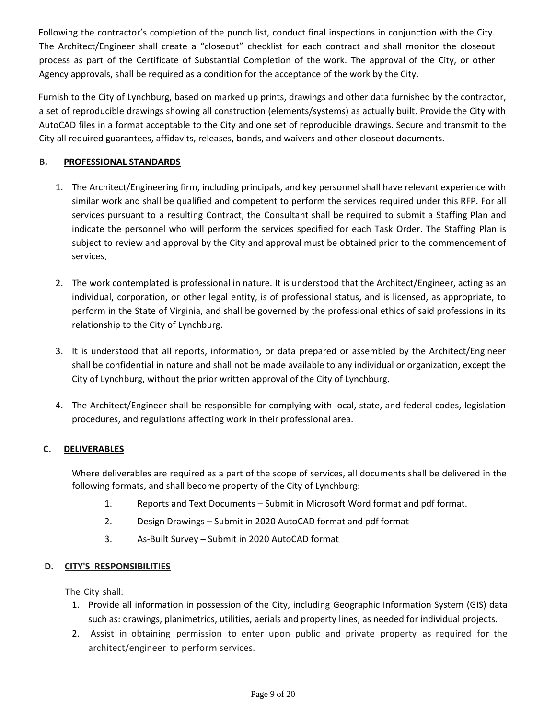Following the contractor's completion of the punch list, conduct final inspections in conjunction with the City. The Architect/Engineer shall create a "closeout" checklist for each contract and shall monitor the closeout process as part of the Certificate of Substantial Completion of the work. The approval of the City, or other Agency approvals, shall be required as a condition for the acceptance of the work by the City.

Furnish to the City of Lynchburg, based on marked up prints, drawings and other data furnished by the contractor, a set of reproducible drawings showing all construction (elements/systems) as actually built. Provide the City with AutoCAD files in a format acceptable to the City and one set of reproducible drawings. Secure and transmit to the City all required guarantees, affidavits, releases, bonds, and waivers and other closeout documents.

# **B. PROFESSIONAL STANDARDS**

- 1. The Architect/Engineering firm, including principals, and key personnel shall have relevant experience with similar work and shall be qualified and competent to perform the services required under this RFP. For all services pursuant to a resulting Contract, the Consultant shall be required to submit a Staffing Plan and indicate the personnel who will perform the services specified for each Task Order. The Staffing Plan is subject to review and approval by the City and approval must be obtained prior to the commencement of services.
- 2. The work contemplated is professional in nature. It is understood that the Architect/Engineer, acting as an individual, corporation, or other legal entity, is of professional status, and is licensed, as appropriate, to perform in the State of Virginia, and shall be governed by the professional ethics of said professions in its relationship to the City of Lynchburg.
- 3. It is understood that all reports, information, or data prepared or assembled by the Architect/Engineer shall be confidential in nature and shall not be made available to any individual or organization, except the City of Lynchburg, without the prior written approval of the City of Lynchburg.
- 4. The Architect/Engineer shall be responsible for complying with local, state, and federal codes, legislation procedures, and regulations affecting work in their professional area.

# **C. DELIVERABLES**

Where deliverables are required as a part of the scope of services, all documents shall be delivered in the following formats, and shall become property of the City of Lynchburg:

- 1. Reports and Text Documents Submit in Microsoft Word format and pdf format.
- 2. Design Drawings Submit in 2020 AutoCAD format and pdf format
- 3. As-Built Survey Submit in 2020 AutoCAD format

# **D. CITY'S RESPONSIBILITIES**

The City shall:

- 1. Provide all information in possession of the City, including Geographic Information System (GIS) data such as: drawings, planimetrics, utilities, aerials and property lines, as needed for individual projects.
- 2. Assist in obtaining permission to enter upon public and private property as required for the architect/engineer to perform services.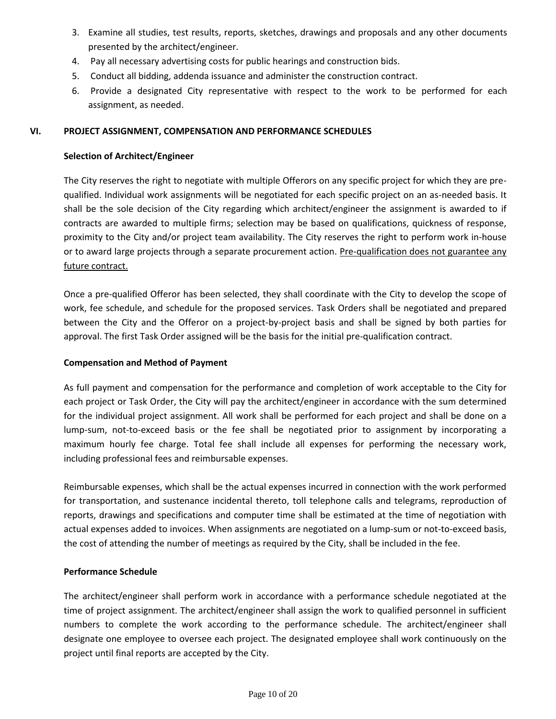- 3. Examine all studies, test results, reports, sketches, drawings and proposals and any other documents presented by the architect/engineer.
- 4. Pay all necessary advertising costs for public hearings and construction bids.
- 5. Conduct all bidding, addenda issuance and administer the construction contract.
- 6. Provide a designated City representative with respect to the work to be performed for each assignment, as needed.

# **VI. PROJECT ASSIGNMENT, COMPENSATION AND PERFORMANCE SCHEDULES**

## **Selection of Architect/Engineer**

The City reserves the right to negotiate with multiple Offerors on any specific project for which they are prequalified. Individual work assignments will be negotiated for each specific project on an as-needed basis. It shall be the sole decision of the City regarding which architect/engineer the assignment is awarded to if contracts are awarded to multiple firms; selection may be based on qualifications, quickness of response, proximity to the City and/or project team availability. The City reserves the right to perform work in-house or to award large projects through a separate procurement action. Pre-qualification does not guarantee any future contract.

Once a pre-qualified Offeror has been selected, they shall coordinate with the City to develop the scope of work, fee schedule, and schedule for the proposed services. Task Orders shall be negotiated and prepared between the City and the Offeror on a project-by-project basis and shall be signed by both parties for approval. The first Task Order assigned will be the basis for the initial pre-qualification contract.

## **Compensation and Method of Payment**

As full payment and compensation for the performance and completion of work acceptable to the City for each project or Task Order, the City will pay the architect/engineer in accordance with the sum determined for the individual project assignment. All work shall be performed for each project and shall be done on a lump-sum, not-to-exceed basis or the fee shall be negotiated prior to assignment by incorporating a maximum hourly fee charge. Total fee shall include all expenses for performing the necessary work, including professional fees and reimbursable expenses.

Reimbursable expenses, which shall be the actual expenses incurred in connection with the work performed for transportation, and sustenance incidental thereto, toll telephone calls and telegrams, reproduction of reports, drawings and specifications and computer time shall be estimated at the time of negotiation with actual expenses added to invoices. When assignments are negotiated on a lump-sum or not-to-exceed basis, the cost of attending the number of meetings as required by the City, shall be included in the fee.

# **Performance Schedule**

The architect/engineer shall perform work in accordance with a performance schedule negotiated at the time of project assignment. The architect/engineer shall assign the work to qualified personnel in sufficient numbers to complete the work according to the performance schedule. The architect/engineer shall designate one employee to oversee each project. The designated employee shall work continuously on the project until final reports are accepted by the City.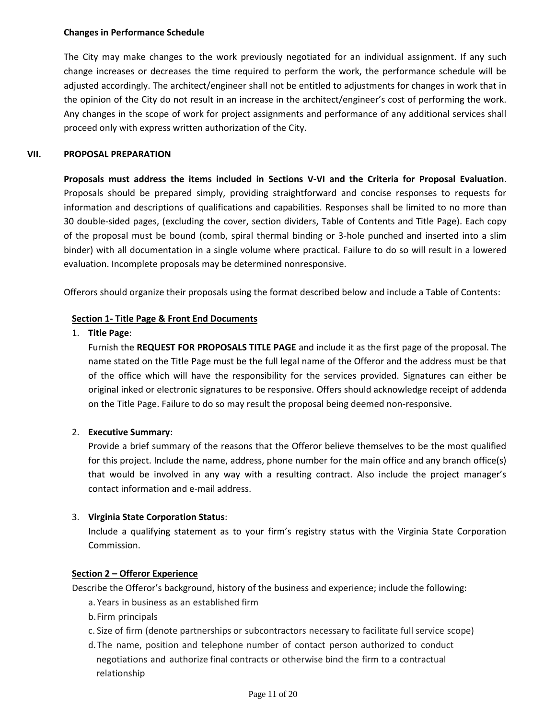#### **Changes in Performance Schedule**

The City may make changes to the work previously negotiated for an individual assignment. If any such change increases or decreases the time required to perform the work, the performance schedule will be adjusted accordingly. The architect/engineer shall not be entitled to adjustments for changes in work that in the opinion of the City do not result in an increase in the architect/engineer's cost of performing the work. Any changes in the scope of work for project assignments and performance of any additional services shall proceed only with express written authorization of the City.

## **VII. PROPOSAL PREPARATION**

**Proposals must address the items included in Sections V-VI and the Criteria for Proposal Evaluation**. Proposals should be prepared simply, providing straightforward and concise responses to requests for information and descriptions of qualifications and capabilities. Responses shall be limited to no more than 30 double-sided pages, (excluding the cover, section dividers, Table of Contents and Title Page). Each copy of the proposal must be bound (comb, spiral thermal binding or 3-hole punched and inserted into a slim binder) with all documentation in a single volume where practical. Failure to do so will result in a lowered evaluation. Incomplete proposals may be determined nonresponsive.

Offerors should organize their proposals using the format described below and include a Table of Contents:

## **Section 1- Title Page & Front End Documents**

## 1. **Title Page**:

Furnish the **REQUEST FOR PROPOSALS TITLE PAGE** and include it as the first page of the proposal. The name stated on the Title Page must be the full legal name of the Offeror and the address must be that of the office which will have the responsibility for the services provided. Signatures can either be original inked or electronic signatures to be responsive. Offers should acknowledge receipt of addenda on the Title Page. Failure to do so may result the proposal being deemed non-responsive.

# 2. **Executive Summary**:

Provide a brief summary of the reasons that the Offeror believe themselves to be the most qualified for this project. Include the name, address, phone number for the main office and any branch office(s) that would be involved in any way with a resulting contract. Also include the project manager's contact information and e-mail address.

# 3. **Virginia State Corporation Status**:

Include a qualifying statement as to your firm's registry status with the Virginia State Corporation Commission.

### **Section 2 – Offeror Experience**

Describe the Offeror's background, history of the business and experience; include the following:

- a. Years in business as an established firm
- b.Firm principals
- c. Size of firm (denote partnerships or subcontractors necessary to facilitate full service scope)
- d. The name, position and telephone number of contact person authorized to conduct negotiations and authorize final contracts or otherwise bind the firm to a contractual relationship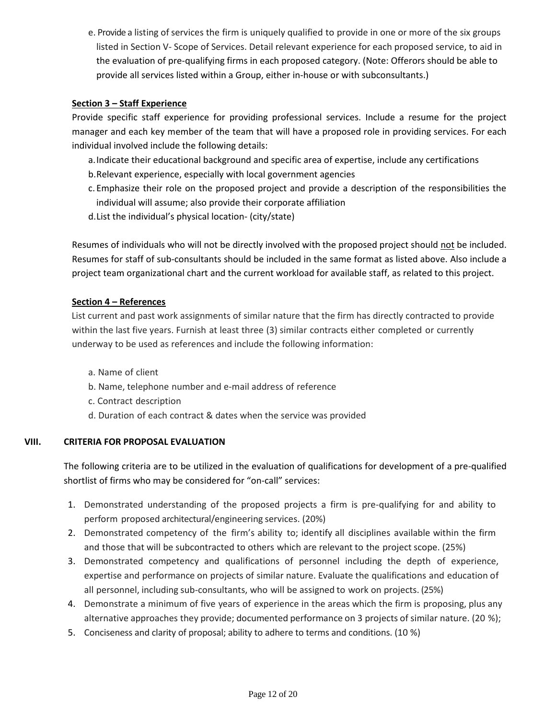e. Provide a listing of services the firm is uniquely qualified to provide in one or more of the six groups listed in Section V- Scope of Services. Detail relevant experience for each proposed service, to aid in the evaluation of pre-qualifying firms in each proposed category. (Note: Offerors should be able to provide all services listed within a Group, either in-house or with subconsultants.)

# **Section 3 – Staff Experience**

Provide specific staff experience for providing professional services. Include a resume for the project manager and each key member of the team that will have a proposed role in providing services. For each individual involved include the following details:

- a.Indicate their educational background and specific area of expertise, include any certifications
- b.Relevant experience, especially with local government agencies
- c. Emphasize their role on the proposed project and provide a description of the responsibilities the individual will assume; also provide their corporate affiliation
- d.List the individual's physical location- (city/state)

Resumes of individuals who will not be directly involved with the proposed project should not be included. Resumes for staff of sub-consultants should be included in the same format as listed above. Also include a project team organizational chart and the current workload for available staff, as related to this project.

## **Section 4 – References**

List current and past work assignments of similar nature that the firm has directly contracted to provide within the last five years. Furnish at least three (3) similar contracts either completed or currently underway to be used as references and include the following information:

- a. Name of client
- b. Name, telephone number and e-mail address of reference
- c. Contract description
- d. Duration of each contract & dates when the service was provided

# **VIII. CRITERIA FOR PROPOSAL EVALUATION**

The following criteria are to be utilized in the evaluation of qualifications for development of a pre-qualified shortlist of firms who may be considered for "on-call" services:

- 1. Demonstrated understanding of the proposed projects a firm is pre-qualifying for and ability to perform proposed architectural/engineering services. (20%)
- 2. Demonstrated competency of the firm's ability to; identify all disciplines available within the firm and those that will be subcontracted to others which are relevant to the project scope. (25%)
- 3. Demonstrated competency and qualifications of personnel including the depth of experience, expertise and performance on projects of similar nature. Evaluate the qualifications and education of all personnel, including sub-consultants, who will be assigned to work on projects. (25%)
- 4. Demonstrate a minimum of five years of experience in the areas which the firm is proposing, plus any alternative approaches they provide; documented performance on 3 projects of similar nature. (20 %);
- 5. Conciseness and clarity of proposal; ability to adhere to terms and conditions. (10 %)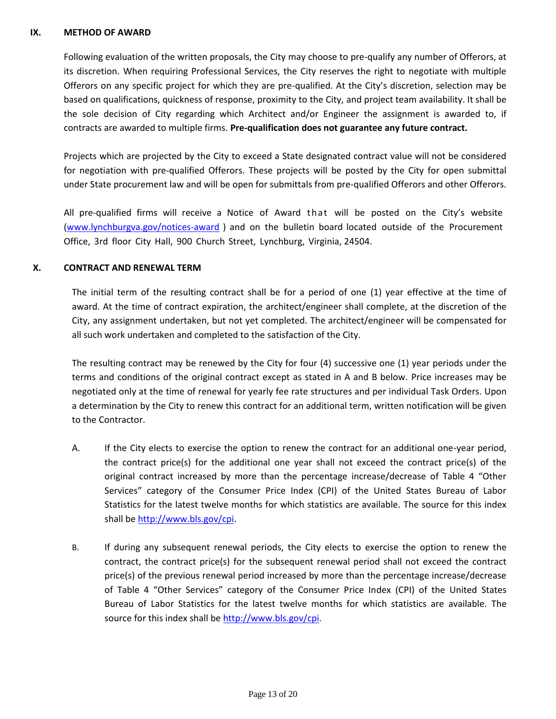#### **IX. METHOD OF AWARD**

Following evaluation of the written proposals, the City may choose to pre-qualify any number of Offerors, at its discretion. When requiring Professional Services, the City reserves the right to negotiate with multiple Offerors on any specific project for which they are pre-qualified. At the City's discretion, selection may be based on qualifications, quickness of response, proximity to the City, and project team availability. It shall be the sole decision of City regarding which Architect and/or Engineer the assignment is awarded to, if contracts are awarded to multiple firms. **Pre-qualification does not guarantee any future contract.**

Projects which are projected by the City to exceed a State designated contract value will not be considered for negotiation with pre-qualified Offerors. These projects will be posted by the City for open submittal under State procurement law and will be open for submittals from pre-qualified Offerors and other Offerors.

All pre-qualified firms will receive a Notice of Award that will be posted on the City's website [\(www.lynchburgva.gov/notices-award](http://www.lynchburgva.gov/notices-award) ) and on the bulletin board located outside of the Procurement Office, 3rd floor City Hall, 900 Church Street, Lynchburg, Virginia, 24504.

## **X. CONTRACT AND RENEWAL TERM**

The initial term of the resulting contract shall be for a period of one (1) year effective at the time of award. At the time of contract expiration, the architect/engineer shall complete, at the discretion of the City, any assignment undertaken, but not yet completed. The architect/engineer will be compensated for all such work undertaken and completed to the satisfaction of the City.

The resulting contract may be renewed by the City for four (4) successive one (1) year periods under the terms and conditions of the original contract except as stated in A and B below. Price increases may be negotiated only at the time of renewal for yearly fee rate structures and per individual Task Orders. Upon a determination by the City to renew this contract for an additional term, written notification will be given to the Contractor.

- A. If the City elects to exercise the option to renew the contract for an additional one-year period, the contract price(s) for the additional one year shall not exceed the contract price(s) of the original contract increased by more than the percentage increase/decrease of Table 4 "Other Services" category of the Consumer Price Index (CPI) of the United States Bureau of Labor Statistics for the latest twelve months for which statistics are available. The source for this index shall be [http://www.bls.gov/cpi.](http://www.bls.gov/cpi)
- B. If during any subsequent renewal periods, the City elects to exercise the option to renew the contract, the contract price(s) for the subsequent renewal period shall not exceed the contract price(s) of the previous renewal period increased by more than the percentage increase/decrease of Table 4 "Other Services" category of the Consumer Price Index (CPI) of the United States Bureau of Labor Statistics for the latest twelve months for which statistics are available. The source for this index shall b[e http://www.bls.gov/cpi](http://www.bls.gov/cpi).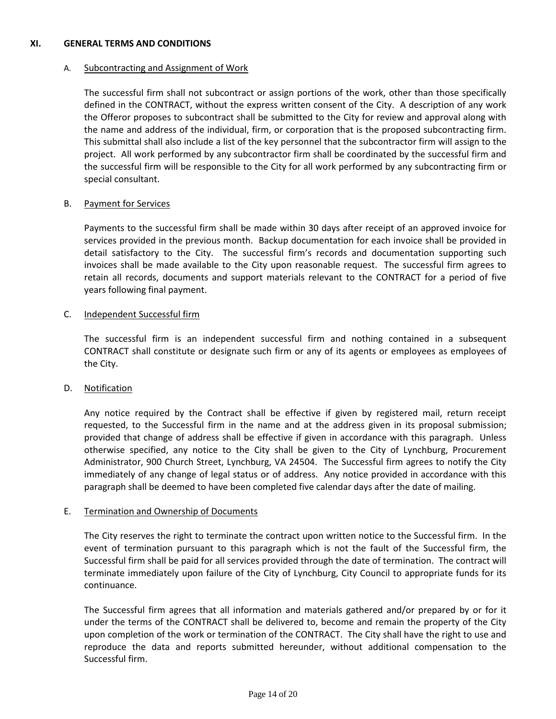#### **XI. GENERAL TERMS AND CONDITIONS**

#### A. Subcontracting and Assignment of Work

The successful firm shall not subcontract or assign portions of the work, other than those specifically defined in the CONTRACT, without the express written consent of the City. A description of any work the Offeror proposes to subcontract shall be submitted to the City for review and approval along with the name and address of the individual, firm, or corporation that is the proposed subcontracting firm. This submittal shall also include a list of the key personnel that the subcontractor firm will assign to the project. All work performed by any subcontractor firm shall be coordinated by the successful firm and the successful firm will be responsible to the City for all work performed by any subcontracting firm or special consultant.

### B. Payment for Services

Payments to the successful firm shall be made within 30 days after receipt of an approved invoice for services provided in the previous month. Backup documentation for each invoice shall be provided in detail satisfactory to the City. The successful firm's records and documentation supporting such invoices shall be made available to the City upon reasonable request. The successful firm agrees to retain all records, documents and support materials relevant to the CONTRACT for a period of five years following final payment.

#### C. Independent Successful firm

The successful firm is an independent successful firm and nothing contained in a subsequent CONTRACT shall constitute or designate such firm or any of its agents or employees as employees of the City.

### D. Notification

Any notice required by the Contract shall be effective if given by registered mail, return receipt requested, to the Successful firm in the name and at the address given in its proposal submission; provided that change of address shall be effective if given in accordance with this paragraph. Unless otherwise specified, any notice to the City shall be given to the City of Lynchburg, Procurement Administrator, 900 Church Street, Lynchburg, VA 24504. The Successful firm agrees to notify the City immediately of any change of legal status or of address. Any notice provided in accordance with this paragraph shall be deemed to have been completed five calendar days after the date of mailing.

### E. Termination and Ownership of Documents

The City reserves the right to terminate the contract upon written notice to the Successful firm. In the event of termination pursuant to this paragraph which is not the fault of the Successful firm, the Successful firm shall be paid for all services provided through the date of termination. The contract will terminate immediately upon failure of the City of Lynchburg, City Council to appropriate funds for its continuance.

The Successful firm agrees that all information and materials gathered and/or prepared by or for it under the terms of the CONTRACT shall be delivered to, become and remain the property of the City upon completion of the work or termination of the CONTRACT. The City shall have the right to use and reproduce the data and reports submitted hereunder, without additional compensation to the Successful firm.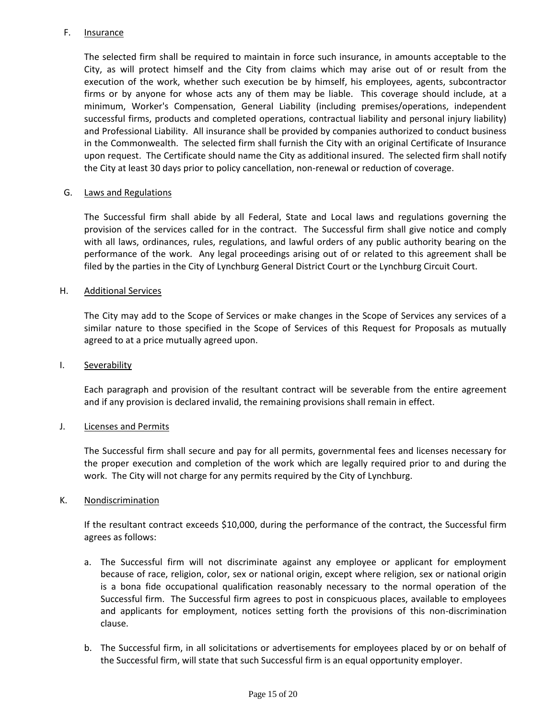### F. Insurance

The selected firm shall be required to maintain in force such insurance, in amounts acceptable to the City, as will protect himself and the City from claims which may arise out of or result from the execution of the work, whether such execution be by himself, his employees, agents, subcontractor firms or by anyone for whose acts any of them may be liable. This coverage should include, at a minimum, Worker's Compensation, General Liability (including premises/operations, independent successful firms, products and completed operations, contractual liability and personal injury liability) and Professional Liability. All insurance shall be provided by companies authorized to conduct business in the Commonwealth. The selected firm shall furnish the City with an original Certificate of Insurance upon request. The Certificate should name the City as additional insured. The selected firm shall notify the City at least 30 days prior to policy cancellation, non-renewal or reduction of coverage.

#### G. Laws and Regulations

The Successful firm shall abide by all Federal, State and Local laws and regulations governing the provision of the services called for in the contract. The Successful firm shall give notice and comply with all laws, ordinances, rules, regulations, and lawful orders of any public authority bearing on the performance of the work. Any legal proceedings arising out of or related to this agreement shall be filed by the parties in the City of Lynchburg General District Court or the Lynchburg Circuit Court.

#### H. Additional Services

The City may add to the Scope of Services or make changes in the Scope of Services any services of a similar nature to those specified in the Scope of Services of this Request for Proposals as mutually agreed to at a price mutually agreed upon.

#### I. Severability

Each paragraph and provision of the resultant contract will be severable from the entire agreement and if any provision is declared invalid, the remaining provisions shall remain in effect.

#### J. Licenses and Permits

The Successful firm shall secure and pay for all permits, governmental fees and licenses necessary for the proper execution and completion of the work which are legally required prior to and during the work. The City will not charge for any permits required by the City of Lynchburg.

#### K. Nondiscrimination

If the resultant contract exceeds \$10,000, during the performance of the contract, the Successful firm agrees as follows:

- a. The Successful firm will not discriminate against any employee or applicant for employment because of race, religion, color, sex or national origin, except where religion, sex or national origin is a bona fide occupational qualification reasonably necessary to the normal operation of the Successful firm. The Successful firm agrees to post in conspicuous places, available to employees and applicants for employment, notices setting forth the provisions of this non-discrimination clause.
- b. The Successful firm, in all solicitations or advertisements for employees placed by or on behalf of the Successful firm, will state that such Successful firm is an equal opportunity employer.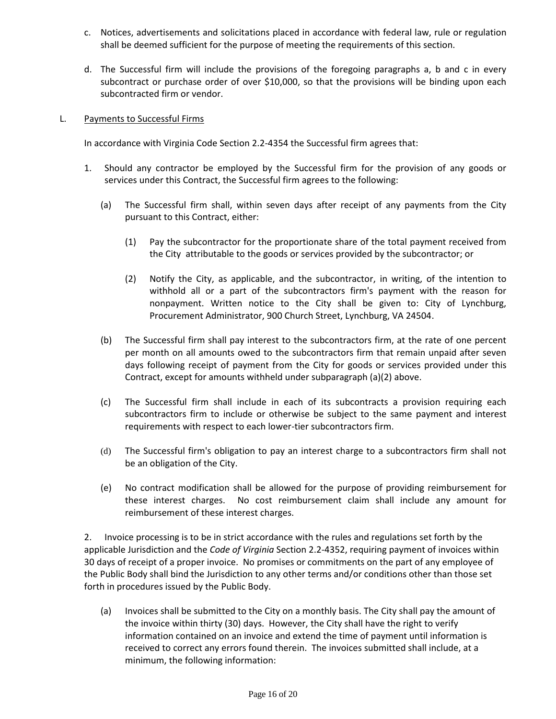- c. Notices, advertisements and solicitations placed in accordance with federal law, rule or regulation shall be deemed sufficient for the purpose of meeting the requirements of this section.
- d. The Successful firm will include the provisions of the foregoing paragraphs a, b and c in every subcontract or purchase order of over \$10,000, so that the provisions will be binding upon each subcontracted firm or vendor.

### L. Payments to Successful Firms

In accordance with Virginia Code Section 2.2-4354 the Successful firm agrees that:

- 1. Should any contractor be employed by the Successful firm for the provision of any goods or services under this Contract, the Successful firm agrees to the following:
	- (a) The Successful firm shall, within seven days after receipt of any payments from the City pursuant to this Contract, either:
		- (1) Pay the subcontractor for the proportionate share of the total payment received from the City attributable to the goods or services provided by the subcontractor; or
		- (2) Notify the City, as applicable, and the subcontractor, in writing, of the intention to withhold all or a part of the subcontractors firm's payment with the reason for nonpayment. Written notice to the City shall be given to: City of Lynchburg, Procurement Administrator, 900 Church Street, Lynchburg, VA 24504.
	- (b) The Successful firm shall pay interest to the subcontractors firm, at the rate of one percent per month on all amounts owed to the subcontractors firm that remain unpaid after seven days following receipt of payment from the City for goods or services provided under this Contract, except for amounts withheld under subparagraph (a)(2) above.
	- (c) The Successful firm shall include in each of its subcontracts a provision requiring each subcontractors firm to include or otherwise be subject to the same payment and interest requirements with respect to each lower-tier subcontractors firm.
	- (d) The Successful firm's obligation to pay an interest charge to a subcontractors firm shall not be an obligation of the City.
	- (e) No contract modification shall be allowed for the purpose of providing reimbursement for these interest charges. No cost reimbursement claim shall include any amount for reimbursement of these interest charges.

2. Invoice processing is to be in strict accordance with the rules and regulations set forth by the applicable Jurisdiction and the *Code of Virginia* Section 2.2-4352, requiring payment of invoices within 30 days of receipt of a proper invoice. No promises or commitments on the part of any employee of the Public Body shall bind the Jurisdiction to any other terms and/or conditions other than those set forth in procedures issued by the Public Body.

(a) Invoices shall be submitted to the City on a monthly basis. The City shall pay the amount of the invoice within thirty (30) days. However, the City shall have the right to verify information contained on an invoice and extend the time of payment until information is received to correct any errors found therein. The invoices submitted shall include, at a minimum, the following information: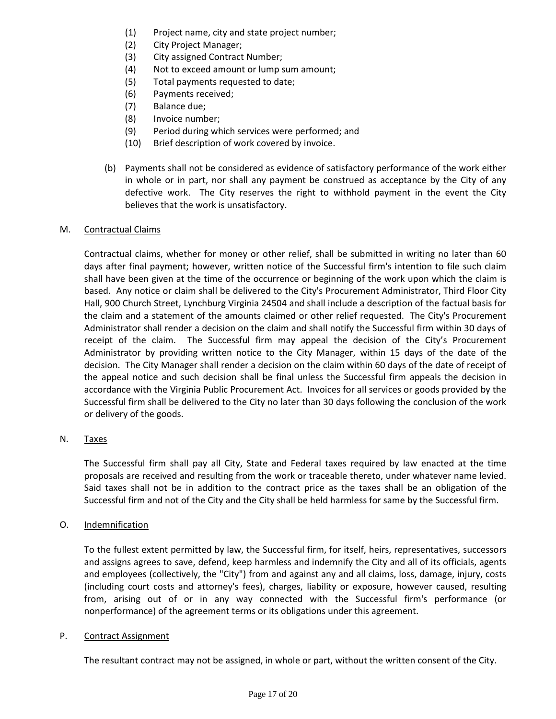- (1) Project name, city and state project number;
- (2) City Project Manager;
- (3) City assigned Contract Number;
- (4) Not to exceed amount or lump sum amount;
- (5) Total payments requested to date;
- (6) Payments received;
- (7) Balance due;
- (8) Invoice number;
- (9) Period during which services were performed; and
- (10) Brief description of work covered by invoice.
- (b) Payments shall not be considered as evidence of satisfactory performance of the work either in whole or in part, nor shall any payment be construed as acceptance by the City of any defective work. The City reserves the right to withhold payment in the event the City believes that the work is unsatisfactory.

### M. Contractual Claims

Contractual claims, whether for money or other relief, shall be submitted in writing no later than 60 days after final payment; however, written notice of the Successful firm's intention to file such claim shall have been given at the time of the occurrence or beginning of the work upon which the claim is based. Any notice or claim shall be delivered to the City's Procurement Administrator, Third Floor City Hall, 900 Church Street, Lynchburg Virginia 24504 and shall include a description of the factual basis for the claim and a statement of the amounts claimed or other relief requested. The City's Procurement Administrator shall render a decision on the claim and shall notify the Successful firm within 30 days of receipt of the claim. The Successful firm may appeal the decision of the City's Procurement Administrator by providing written notice to the City Manager, within 15 days of the date of the decision. The City Manager shall render a decision on the claim within 60 days of the date of receipt of the appeal notice and such decision shall be final unless the Successful firm appeals the decision in accordance with the Virginia Public Procurement Act. Invoices for all services or goods provided by the Successful firm shall be delivered to the City no later than 30 days following the conclusion of the work or delivery of the goods.

### N. Taxes

The Successful firm shall pay all City, State and Federal taxes required by law enacted at the time proposals are received and resulting from the work or traceable thereto, under whatever name levied. Said taxes shall not be in addition to the contract price as the taxes shall be an obligation of the Successful firm and not of the City and the City shall be held harmless for same by the Successful firm.

### O. Indemnification

To the fullest extent permitted by law, the Successful firm, for itself, heirs, representatives, successors and assigns agrees to save, defend, keep harmless and indemnify the City and all of its officials, agents and employees (collectively, the "City") from and against any and all claims, loss, damage, injury, costs (including court costs and attorney's fees), charges, liability or exposure, however caused, resulting from, arising out of or in any way connected with the Successful firm's performance (or nonperformance) of the agreement terms or its obligations under this agreement.

#### P. Contract Assignment

The resultant contract may not be assigned, in whole or part, without the written consent of the City.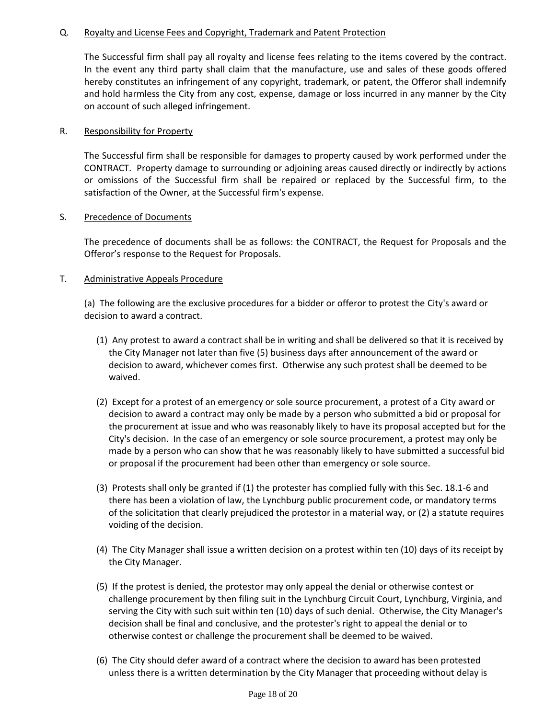## Q. Royalty and License Fees and Copyright, Trademark and Patent Protection

The Successful firm shall pay all royalty and license fees relating to the items covered by the contract. In the event any third party shall claim that the manufacture, use and sales of these goods offered hereby constitutes an infringement of any copyright, trademark, or patent, the Offeror shall indemnify and hold harmless the City from any cost, expense, damage or loss incurred in any manner by the City on account of such alleged infringement.

### R. Responsibility for Property

The Successful firm shall be responsible for damages to property caused by work performed under the CONTRACT. Property damage to surrounding or adjoining areas caused directly or indirectly by actions or omissions of the Successful firm shall be repaired or replaced by the Successful firm, to the satisfaction of the Owner, at the Successful firm's expense.

## S. Precedence of Documents

The precedence of documents shall be as follows: the CONTRACT, the Request for Proposals and the Offeror's response to the Request for Proposals.

## T. Administrative Appeals Procedure

(a) The following are the exclusive procedures for a bidder or offeror to protest the City's award or decision to award a contract.

- (1) Any protest to award a contract shall be in writing and shall be delivered so that it is received by the City Manager not later than five (5) business days after announcement of the award or decision to award, whichever comes first. Otherwise any such protest shall be deemed to be waived.
- (2) Except for a protest of an emergency or sole source procurement, a protest of a City award or decision to award a contract may only be made by a person who submitted a bid or proposal for the procurement at issue and who was reasonably likely to have its proposal accepted but for the City's decision. In the case of an emergency or sole source procurement, a protest may only be made by a person who can show that he was reasonably likely to have submitted a successful bid or proposal if the procurement had been other than emergency or sole source.
- (3) Protests shall only be granted if (1) the protester has complied fully with this Sec. 18.1-6 and there has been a violation of law, the Lynchburg public procurement code, or mandatory terms of the solicitation that clearly prejudiced the protestor in a material way, or (2) a statute requires voiding of the decision.
- (4) The City Manager shall issue a written decision on a protest within ten (10) days of its receipt by the City Manager.
- (5) If the protest is denied, the protestor may only appeal the denial or otherwise contest or challenge procurement by then filing suit in the Lynchburg Circuit Court, Lynchburg, Virginia, and serving the City with such suit within ten (10) days of such denial. Otherwise, the City Manager's decision shall be final and conclusive, and the protester's right to appeal the denial or to otherwise contest or challenge the procurement shall be deemed to be waived.
- (6) The City should defer award of a contract where the decision to award has been protested unless there is a written determination by the City Manager that proceeding without delay is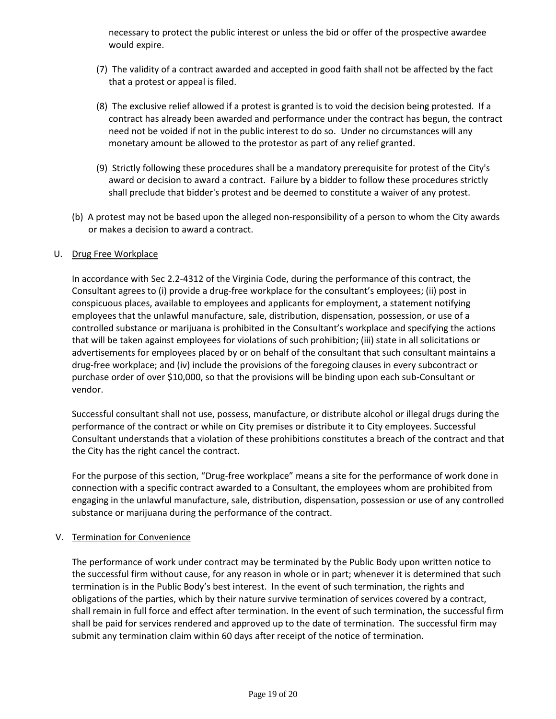necessary to protect the public interest or unless the bid or offer of the prospective awardee would expire.

- (7) The validity of a contract awarded and accepted in good faith shall not be affected by the fact that a protest or appeal is filed.
- (8) The exclusive relief allowed if a protest is granted is to void the decision being protested. If a contract has already been awarded and performance under the contract has begun, the contract need not be voided if not in the public interest to do so. Under no circumstances will any monetary amount be allowed to the protestor as part of any relief granted.
- (9) Strictly following these procedures shall be a mandatory prerequisite for protest of the City's award or decision to award a contract. Failure by a bidder to follow these procedures strictly shall preclude that bidder's protest and be deemed to constitute a waiver of any protest.
- (b) A protest may not be based upon the alleged non-responsibility of a person to whom the City awards or makes a decision to award a contract.

### U. Drug Free Workplace

In accordance with Sec 2.2-4312 of the Virginia Code, during the performance of this contract, the Consultant agrees to (i) provide a drug-free workplace for the consultant's employees; (ii) post in conspicuous places, available to employees and applicants for employment, a statement notifying employees that the unlawful manufacture, sale, distribution, dispensation, possession, or use of a controlled substance or marijuana is prohibited in the Consultant's workplace and specifying the actions that will be taken against employees for violations of such prohibition; (iii) state in all solicitations or advertisements for employees placed by or on behalf of the consultant that such consultant maintains a drug-free workplace; and (iv) include the provisions of the foregoing clauses in every subcontract or purchase order of over \$10,000, so that the provisions will be binding upon each sub-Consultant or vendor.

Successful consultant shall not use, possess, manufacture, or distribute alcohol or illegal drugs during the performance of the contract or while on City premises or distribute it to City employees. Successful Consultant understands that a violation of these prohibitions constitutes a breach of the contract and that the City has the right cancel the contract.

For the purpose of this section, "Drug-free workplace" means a site for the performance of work done in connection with a specific contract awarded to a Consultant, the employees whom are prohibited from engaging in the unlawful manufacture, sale, distribution, dispensation, possession or use of any controlled substance or marijuana during the performance of the contract.

#### V. Termination for Convenience

The performance of work under contract may be terminated by the Public Body upon written notice to the successful firm without cause, for any reason in whole or in part; whenever it is determined that such termination is in the Public Body's best interest. In the event of such termination, the rights and obligations of the parties, which by their nature survive termination of services covered by a contract, shall remain in full force and effect after termination. In the event of such termination, the successful firm shall be paid for services rendered and approved up to the date of termination. The successful firm may submit any termination claim within 60 days after receipt of the notice of termination.